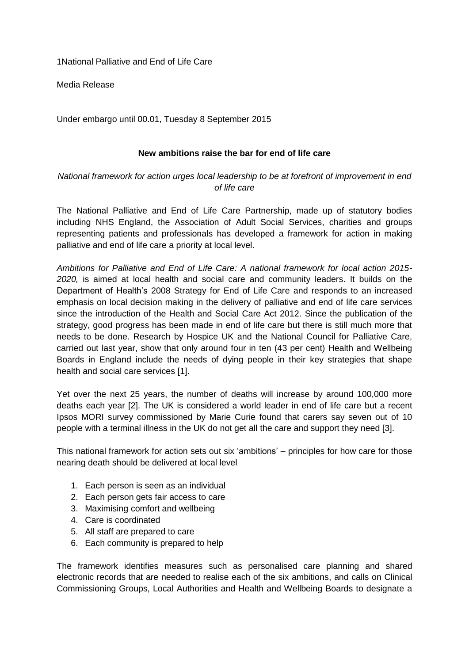1National Palliative and End of Life Care

Media Release

Under embargo until 00.01, Tuesday 8 September 2015

### **New ambitions raise the bar for end of life care**

*National framework for action urges local leadership to be at forefront of improvement in end of life care*

The National Palliative and End of Life Care Partnership, made up of statutory bodies including NHS England, the Association of Adult Social Services, charities and groups representing patients and professionals has developed a framework for action in making palliative and end of life care a priority at local level.

*Ambitions for Palliative and End of Life Care: A national framework for local action 2015- 2020,* is aimed at local health and social care and community leaders. It builds on the Department of Health's 2008 Strategy for End of Life Care and responds to an increased emphasis on local decision making in the delivery of palliative and end of life care services since the introduction of the Health and Social Care Act 2012. Since the publication of the strategy, good progress has been made in end of life care but there is still much more that needs to be done. Research by Hospice UK and the National Council for Palliative Care, carried out last year, show that only around four in ten (43 per cent) Health and Wellbeing Boards in England include the needs of dying people in their key strategies that shape health and social care services [1].

Yet over the next 25 years, the number of deaths will increase by around 100,000 more deaths each year [2]. The UK is considered a world leader in end of life care but a recent Ipsos MORI survey commissioned by Marie Curie found that carers say seven out of 10 people with a terminal illness in the UK do not get all the care and support they need [3].

This national framework for action sets out six 'ambitions' – principles for how care for those nearing death should be delivered at local level

- 1. Each person is seen as an individual
- 2. Each person gets fair access to care
- 3. Maximising comfort and wellbeing
- 4. Care is coordinated
- 5. All staff are prepared to care
- 6. Each community is prepared to help

The framework identifies measures such as personalised care planning and shared electronic records that are needed to realise each of the six ambitions, and calls on Clinical Commissioning Groups, Local Authorities and Health and Wellbeing Boards to designate a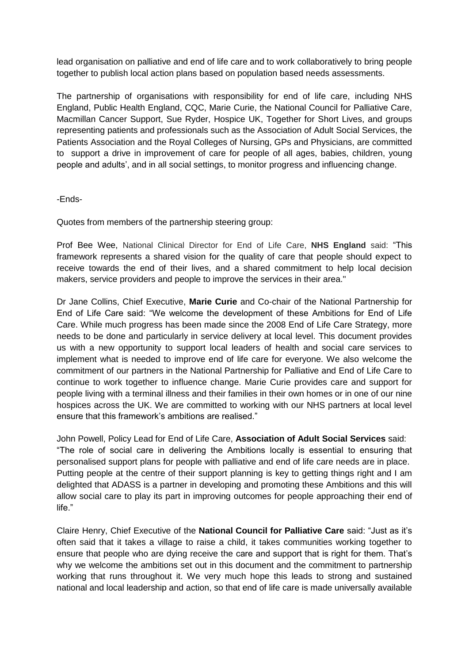lead organisation on palliative and end of life care and to work collaboratively to bring people together to publish local action plans based on population based needs assessments.

The partnership of organisations with responsibility for end of life care, including NHS England, Public Health England, CQC, Marie Curie, the National Council for Palliative Care, Macmillan Cancer Support, Sue Ryder, Hospice UK, Together for Short Lives, and groups representing patients and professionals such as the Association of Adult Social Services, the Patients Association and the Royal Colleges of Nursing, GPs and Physicians, are committed to support a drive in improvement of care for people of all ages, babies, children, young people and adults', and in all social settings, to monitor progress and influencing change.

-Ends-

Quotes from members of the partnership steering group:

Prof Bee Wee, National Clinical Director for End of Life Care, **NHS England** said: "This framework represents a shared vision for the quality of care that people should expect to receive towards the end of their lives, and a shared commitment to help local decision makers, service providers and people to improve the services in their area."

Dr Jane Collins, Chief Executive, **Marie Curie** and Co-chair of the National Partnership for End of Life Care said: "We welcome the development of these Ambitions for End of Life Care. While much progress has been made since the 2008 End of Life Care Strategy, more needs to be done and particularly in service delivery at local level. This document provides us with a new opportunity to support local leaders of health and social care services to implement what is needed to improve end of life care for everyone. We also welcome the commitment of our partners in the National Partnership for Palliative and End of Life Care to continue to work together to influence change. Marie Curie provides care and support for people living with a terminal illness and their families in their own homes or in one of our nine hospices across the UK. We are committed to working with our NHS partners at local level ensure that this framework's ambitions are realised."

John Powell, Policy Lead for End of Life Care, **Association of Adult Social Services** said: "The role of social care in delivering the Ambitions locally is essential to ensuring that personalised support plans for people with palliative and end of life care needs are in place. Putting people at the centre of their support planning is key to getting things right and I am delighted that ADASS is a partner in developing and promoting these Ambitions and this will allow social care to play its part in improving outcomes for people approaching their end of life."

Claire Henry, Chief Executive of the **National Council for Palliative Care** said: "Just as it's often said that it takes a village to raise a child, it takes communities working together to ensure that people who are dying receive the care and support that is right for them. That's why we welcome the ambitions set out in this document and the commitment to partnership working that runs throughout it. We very much hope this leads to strong and sustained national and local leadership and action, so that end of life care is made universally available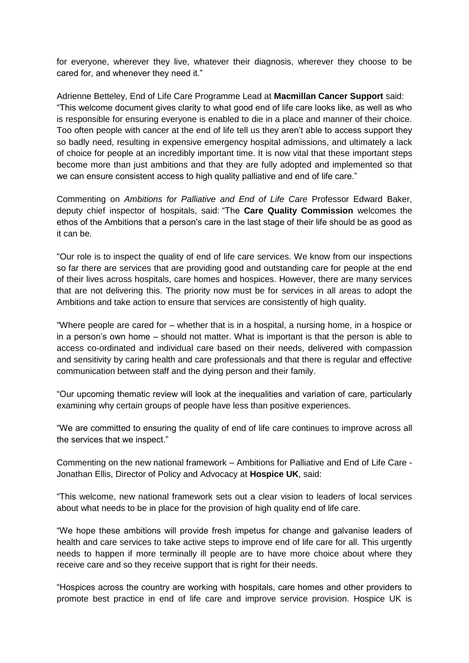for everyone, wherever they live, whatever their diagnosis, wherever they choose to be cared for, and whenever they need it."

Adrienne Betteley, End of Life Care Programme Lead at **Macmillan Cancer Support** said: "This welcome document gives clarity to what good end of life care looks like, as well as who is responsible for ensuring everyone is enabled to die in a place and manner of their choice. Too often people with cancer at the end of life tell us they aren't able to access support they so badly need, resulting in expensive emergency hospital admissions, and ultimately a lack of choice for people at an incredibly important time. It is now vital that these important steps become more than just ambitions and that they are fully adopted and implemented so that we can ensure consistent access to high quality palliative and end of life care."

Commenting on *Ambitions for Palliative and End of Life Care* Professor Edward Baker, deputy chief inspector of hospitals, said: "The **Care Quality Commission** welcomes the ethos of the Ambitions that a person's care in the last stage of their life should be as good as it can be.

"Our role is to inspect the quality of end of life care services. We know from our inspections so far there are services that are providing good and outstanding care for people at the end of their lives across hospitals, care homes and hospices. However, there are many services that are not delivering this. The priority now must be for services in all areas to adopt the Ambitions and take action to ensure that services are consistently of high quality.

"Where people are cared for – whether that is in a hospital, a nursing home, in a hospice or in a person's own home – should not matter. What is important is that the person is able to access co-ordinated and individual care based on their needs, delivered with compassion and sensitivity by caring health and care professionals and that there is regular and effective communication between staff and the dying person and their family.

"Our upcoming thematic review will look at the inequalities and variation of care, particularly examining why certain groups of people have less than positive experiences.

"We are committed to ensuring the quality of end of life care continues to improve across all the services that we inspect."

Commenting on the new national framework – Ambitions for Palliative and End of Life Care - Jonathan Ellis, Director of Policy and Advocacy at **Hospice UK**, said:

"This welcome, new national framework sets out a clear vision to leaders of local services about what needs to be in place for the provision of high quality end of life care.

"We hope these ambitions will provide fresh impetus for change and galvanise leaders of health and care services to take active steps to improve end of life care for all. This urgently needs to happen if more terminally ill people are to have more choice about where they receive care and so they receive support that is right for their needs.

"Hospices across the country are working with hospitals, care homes and other providers to promote best practice in end of life care and improve service provision. Hospice UK is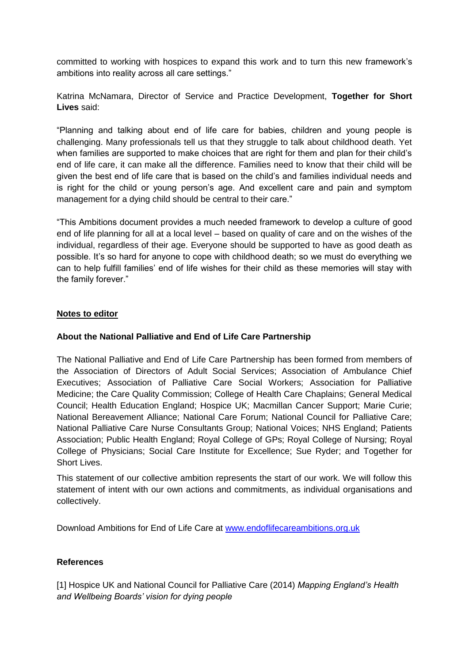committed to working with hospices to expand this work and to turn this new framework's ambitions into reality across all care settings."

Katrina McNamara, Director of Service and Practice Development, **Together for Short Lives** said:

"Planning and talking about end of life care for babies, children and young people is challenging. Many professionals tell us that they struggle to talk about childhood death. Yet when families are supported to make choices that are right for them and plan for their child's end of life care, it can make all the difference. Families need to know that their child will be given the best end of life care that is based on the child's and families individual needs and is right for the child or young person's age. And excellent care and pain and symptom management for a dying child should be central to their care."

"This Ambitions document provides a much needed framework to develop a culture of good end of life planning for all at a local level – based on quality of care and on the wishes of the individual, regardless of their age. Everyone should be supported to have as good death as possible. It's so hard for anyone to cope with childhood death; so we must do everything we can to help fulfill families' end of life wishes for their child as these memories will stay with the family forever."

## **Notes to editor**

### **About the National Palliative and End of Life Care Partnership**

The National Palliative and End of Life Care Partnership has been formed from members of the Association of Directors of Adult Social Services; Association of Ambulance Chief Executives; Association of Palliative Care Social Workers; Association for Palliative Medicine; the Care Quality Commission; College of Health Care Chaplains; General Medical Council; Health Education England; Hospice UK; Macmillan Cancer Support; Marie Curie; National Bereavement Alliance; National Care Forum; National Council for Palliative Care; National Palliative Care Nurse Consultants Group; National Voices; NHS England; Patients Association; Public Health England; Royal College of GPs; Royal College of Nursing; Royal College of Physicians; Social Care Institute for Excellence; Sue Ryder; and Together for Short Lives.

This statement of our collective ambition represents the start of our work. We will follow this statement of intent with our own actions and commitments, as individual organisations and collectively.

Download Ambitions for End of Life Care at [www.endoflifecareambitions.org.uk](http://www.endoflifecareambitions.org.uk/)

### **References**

[1] Hospice UK and National Council for Palliative Care (2014) *Mapping England's Health and Wellbeing Boards' vision for dying people*